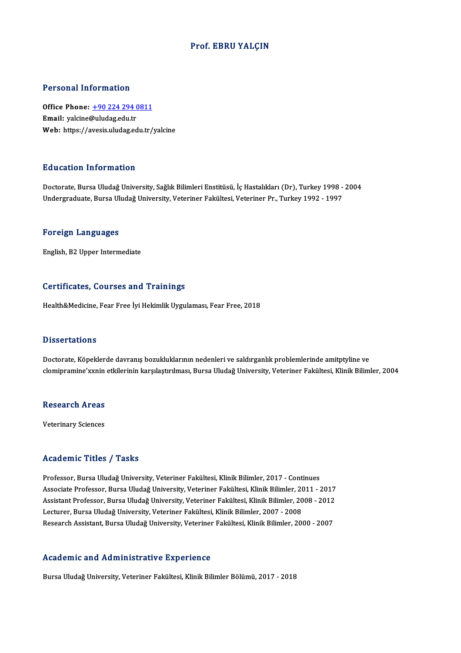#### Prof. EBRU YALÇIN

#### Personal Information

Personal Information<br>Office Phone: <u>+90 224 294 0811</u> Processing internation<br>Office Phone: <u>+90 224 294 (</u><br>Email: yalcine[@uludag.edu.tr](tel:+90 224 294 0811) Email: yalcine@uludag.edu.tr<br>Web: https://avesis.uludag.edu.tr/yalcine

#### Education Information

Doctorate, Bursa Uludağ University, Sağlık Bilimleri Enstitüsü, İç Hastalıkları (Dr), Turkey 1998 - 2004 Undergraduate, Bursa Uludağ University, Veteriner Fakültesi, Veteriner Pr., Turkey 1992 - 1997

#### Foreign Languages

English,B2Upper Intermediate

#### Certificates, Courses and Trainings

Health&Medicine, Fear Free İyi Hekimlik Uygulaması, Fear Free, 2018

#### **Dissertations**

Doctorate, Köpeklerde davranış bozukluklarının nedenleri ve saldırganlık problemlerinde amitptyline ve clomipramine'xxnin etkilerinin karşılaştırılması, Bursa Uludağ University, Veteriner Fakültesi, Klinik Bilimler, 2004

## ciomipramine xxnin<br>Research Areas Re<mark>search Areas</mark><br>Veterinary Sciences

# Veterinary Sciences<br>Academic Titles / Tasks

Professor, Bursa Uludağ University, Veteriner Fakültesi, Klinik Bilimler, 2017 - Continues Associate Articus 7 - 1 duktor<br>Professor, Bursa Uludağ University, Veteriner Fakültesi, Klinik Bilimler, 2017 - Continues<br>Associate Professor, Bursa Uludağ University, Veteriner Fakültesi, Klinik Bilimler, 2011 - 2017<br>Assi Professor, Bursa Uludağ University, Veteriner Fakültesi, Klinik Bilimler, 2017 - Continues<br>Associate Professor, Bursa Uludağ University, Veteriner Fakültesi, Klinik Bilimler, 2011 - 2017<br>Assistant Professor, Bursa Uludağ U Assistant Professor, Bursa Uludağ University, Veteriner Fakültesi, Klinik Bilimler, 2008 - 2012<br>Lecturer, Bursa Uludağ University, Veteriner Fakültesi, Klinik Bilimler, 2007 - 2008 Research Assistant, Bursa Uludağ University, Veteriner Fakültesi, Klinik Bilimler, 2000 - 2007

#### Academic and Administrative Experience

Bursa Uludağ University, Veteriner Fakültesi, Klinik Bilimler Bölümü, 2017 - 2018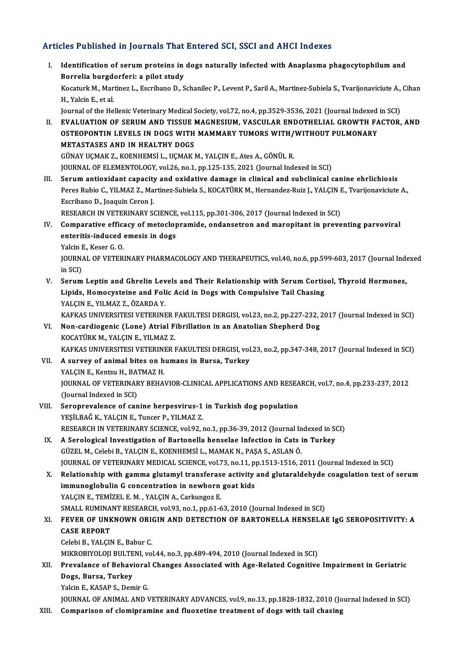### Articles Published in Journals That Entered SCI, SSCI and AHCI Indexes

rticles Published in Journals That Entered SCI, SSCI and AHCI Indexes<br>I. Identification of serum proteins in dogs naturally infected with Anaplasma phagocytophilum and<br>Regralis burgderferi: a pilot study Borrelia burgdorferi: a pilot study<br>Borrelia burgdorferi: a pilot study<br>Kosaturk M. Martinez L. Escribano D. S Identification of serum proteins in dogs naturally infected with Anaplasma phagocytophilum and<br>Borrelia burgdorferi: a pilot study<br>Kocaturk M., Martinez L., Escribano D., Schanilec P., Levent P., Saril A., Martinez-Subiela Borrelia burgde<br>Kocaturk M., Mar<br>H., Yalcin E., et al.<br>Journal of the He Kocaturk M., Martinez L., Escribano D., Schanilec P., Levent P., Saril A., Martinez-Subiela S., Tvarijonaviciute A.,<br>H., Yalcin E., et al.<br>Journal of the Hellenic Veterinary Medical Society, vol.72, no.4, pp.3529-3536, 202

- H., Yalcin E., et al.<br>Journal of the Hellenic Veterinary Medical Society, vol.72, no.4, pp.3529-3536, 2021 (Journal Indexed in SCI)<br>II. EVALUATION OF SERUM AND TISSUE MAGNESIUM, VASCULAR ENDOTHELIAL GROWTH FACTOR, AND<br>OSTE Journal of the Hellenic Veterinary Medical Society, vol.72, no.4, pp.3529-3536, 2021 (Journal Indexed EVALUATION OF SERUM AND TISSUE MAGNESIUM, VASCULAR ENDOTHELIAL GROWTH FA<br>OSTEOPONTIN LEVELS IN DOGS WITH MAMMARY TUMORS EVALUATION OF SERUM AND TISSUE I<br>OSTEOPONTIN LEVELS IN DOGS WITH<br>METASTASES AND IN HEALTHY DOGS<br>CÜNAVICMAV 7 VOENUEMSLI, UCMAVI OSTEOPONTIN LEVELS IN DOGS WITH MAMMARY TUMORS WITH/WITHOUT PULMONARY<br>METASTASES AND IN HEALTHY DOGS<br>GÜNAY UÇMAK Z., KOENHEMSİ L., UÇMAK M., YALÇIN E., Ates A., GÖNÜL R. JOURNAL OF ELEMENTOLOGY, vol.26, no.1, pp.125-135, 2021 (Journal Indexed in SCI)
- III. Serum antioxidant capacity and oxidative damage in clinical and subclinical canine ehrlichiosis JOURNAL OF ELEMENTOLOGY, vol.26, no.1, pp.125-135, 2021 (Journal Indexed in SCI)<br>Serum antioxidant capacity and oxidative damage in clinical and subclinical canine ehrlichiosis<br>Peres Rubio C., YILMAZ Z., Martinez-Subiela S Serum antioxidant capacity<br>Peres Rubio C., YILMAZ Z., Ma<br>Escribano D., Joaquin Ceron J.<br>PESEAPCH IN VETERINARY S6 Peres Rubio C., YILMAZ Z., Martinez-Subiela S., KOCATÜRK M., Hernandez-Ruiz J., YALÇIN I<br>Escribano D., Joaquin Ceron J.<br>RESEARCH IN VETERINARY SCIENCE, vol.115, pp.301-306, 2017 (Journal Indexed in SCI)<br>Comparative effices Escribano D., Joaquin Ceron J.<br>RESEARCH IN VETERINARY SCIENCE, vol.115, pp.301-306, 2017 (Journal Indexed in SCI)<br>IV. Comparative efficacy of metoclopramide, ondansetron and maropitant in preventing parvoviral<br>onteritis in

### RESEARCH IN VETERINARY SCIENCE<br>Comparative efficacy of metoclop<br>enteritis-induced emesis in dogs<br>Vakin E. Keser C.O. Comparative efficant<br>enteritis-induced<br>Yalcin E., Keser G. O.<br>JOUPMAL OF VETER enteritis-induced emesis in dogs<br>Yalcin E., Keser G. O.<br>JOURNAL OF VETERINARY PHARMACOLOGY AND THERAPEUTICS, vol.40, no.6, pp.599-603, 2017 (Journal Indexed<br>in SCD

Yalcin I<br>JOURNA<br>in SCI)<br>Sorum JOURNAL OF VETERINARY PHARMACOLOGY AND THERAPEUTICS, vol.40, no.6, pp.599-603, 2017 (Journal Inde<br>in SCI)<br>V. Serum Leptin and Ghrelin Levels and Their Relationship with Serum Cortisol, Thyroid Hormones,<br>Linide Homogystaine

in SCI)<br>Serum Leptin and Ghrelin Levels and Their Relationship with Serum Cortis<br>Lipids, Homocysteine and Folic Acid in Dogs with Compulsive Tail Chasing<br>YALCIN E. YU MAZ Z. ÖZAPDA Y Serum Leptin and Ghrelin Lev<br>Lipids, Homocysteine and Foli<br>YALÇIN E., YILMAZ Z., ÖZARDA Y.<br>KARKAS UNIVERSITESI VETERINE YALÇIN E., YILMAZ Z., ÖZARDA Y.<br>KAFKAS UNIVERSITESI VETERINER FAKULTESI DERGISI, vol.23, no.2, pp.227-232, 2017 (Journal Indexed in SCI)

- YALÇIN E., YILMAZ Z., ÖZARDA Y.<br>KAFKAS UNIVERSITESI VETERINER FAKULTESI DERGISI, vol.23, no.2, pp.227-232, .<br>VI. Non-cardiogenic (Lone) Atrial Fibrillation in an Anatolian Shepherd Dog<br>KOCATÜPK M. VALGIN E. VILMAZ Z. KAFKAS UNIVERSITESI VETERINER I<br>Non-cardiogenic (Lone) Atrial F:<br>KOCATÜRK M., YALÇIN E., YILMAZ Z.<br>KAEKAS UNIVERSITESI VETERINER I KOCATÜRK M., YALÇIN E., YILMAZ Z.<br>KAFKAS UNIVERSITESI VETERINER FAKULTESI DERGISI, vol.23, no.2, pp.347-348, 2017 (Journal Indexed in SCI) KOCATÜRK M., YALÇIN E., YILMAZ Z.<br>KAFKAS UNIVERSITESI VETERINER FAKULTESI DERGISI, vol<br>VII. **A survey of animal bites on humans in Bursa, Turkey**<br>VALGIN E. Kontsu H. BATMAZ H.
- KAFKAS UNIVERSITESI VETERINI<br>A survey of animal bites on h<br>YALÇIN E., Kentsu H., BATMAZ H.<br>JOUPMAJ, OE VETERINARY PEHA. A survey of animal bites on humans in Bursa, Turkey<br>YALÇIN E., Kentsu H., BATMAZ H.<br>JOURNAL OF VETERINARY BEHAVIOR-CLINICAL APPLICATIONS AND RESEARCH, vol.7, no.4, pp.233-237, 2012<br>(Journal Indoved in SCD YALÇIN E., Kentsu H., BA<br>JOURNAL OF VETERINAF<br>(Journal Indexed in SCI)<br>Serenneyelenge of gen JOURNAL OF VETERINARY BEHAVIOR-CLINICAL APPLICATIONS AND RESEA<br>(Journal Indexed in SCI)<br>VIII. Seroprevalence of canine herpesvirus-1 in Turkish dog population<br>vesti BAČ K, VALCIN E, Tunger B, VII MAZ Z
- (Journal Indexed in SCI)<br>Seroprevalence of canine herpesvirus-1<br>YEŞİLBAĞ K., YALÇIN E., Tuncer P., YILMAZ Z.<br>RESEARCH IN VETERINARY SCIENCE, YOLOZ 3 Seroprevalence of canine herpesvirus-1 in Turkish dog population<br>YEŞİLBAĞ K., YALÇIN E., Tuncer P., YILMAZ Z.<br>RESEARCH IN VETERINARY SCIENCE, vol.92, no.1, pp.36-39, 2012 (Journal Indexed in SCI)<br>A Serological Investigatio YEŞİLBAĞ K., YALÇIN E., Tuncer P., YILMAZ Z.<br>RESEARCH IN VETERINARY SCIENCE, vol.92, no.1, pp.36-39, 2012 (Journal Indexed in St<br>IX. A Serological Investigation of Bartonella henselae Infection in Cats in Turkey
- RESEARCH IN VETERINARY SCIENCE, vol.92, no.1, pp.36-39, 2012 (Journal In<br>A Serological Investigation of Bartonella henselae Infection in Cats i<br>GÜZEL M., Celebi B., YALÇIN E., KOENHEMSİ L., MAMAK N., PAŞA S., ASLAN Ö.<br>JOUP A Serological Investigation of Bartonella henselae Infection in Cats in Turkey<br>GÜZEL M., Celebi B., YALÇIN E., KOENHEMSİ L., MAMAK N., PAŞA S., ASLAN Ö.<br>JOURNAL OF VETERINARY MEDICAL SCIENCE, vol.73, no.11, pp.1513-1516, 2
- GÜZEL M., Celebi B., YALÇIN E., KOENHEMSİ L., MAMAK N., PAŞA S., ASLAN Ö.<br>JOURNAL OF VETERINARY MEDICAL SCIENCE, vol.73, no.11, pp.1513-1516, 2011 (Journal Indexed in SCI)<br>X. Relationship with gamma glutamyl transferase ac JOURNAL OF VETERINARY MEDICAL SCIENCE, vol.73, no.11, p<br>Relationship with gamma glutamyl transferase activity<br>immunoglobulin G concentration in newborn goat kids<br>VALCIN E TEMIZEL E M , VALCIN A Corbunges E X. Relationship with gamma glutamyl transferase activity and glutaraldehyde coagulation test of serum immunoglobulin G concentration in newborn goat kids<br>YALCIN E., TEMİZEL E. M. , YALCIN A., Carkungoz E. immunoglobulin G concentration in newborn goat kids<br>YALÇIN E., TEMİZEL E. M. , YALÇIN A., Carkungoz E.<br>SMALL RUMINANT RESEARCH, vol.93, no.1, pp.61-63, 2010 (Journal Indexed in SCI)<br>EEVER OF UNKNOWN ORICIN AND DETECTION OF YALÇIN E., TEMİZEL E. M. , YALÇIN A., Carkungoz E.<br>SMALL RUMINANT RESEARCH, vol.93, no.1, pp.61-63, 2010 (Journal Indexed in SCI)<br>XI. FEVER OF UNKNOWN ORIGIN AND DETECTION OF BARTONELLA HENSELAE IgG SEROPOSITIVITY: A<br>C

## SMALL RUMINA<br>FEVER OF UNK<br>CASE REPORT<br>Colobi B - VALCIM FEVER OF UNKNOWN ORIC<br>CASE REPORT<br>Celebi B., YALÇIN E., Babur C.<br>MIKROBIYOLOU BULTENL VO

CASE REPORT<br>Celebi B., YALÇIN E., Babur C.<br>MIKROBIYOLOJI BULTENI, vol.44, no.3, pp.489-494, 2010 (Journal Indexed in SCI)<br>Prevelance of Behavieral Changes Associated with Age Belated Cognitive

### Celebi B., YALÇIN E., Babur C.<br>MIKROBIYOLOJI BULTENI, vol.44, no.3, pp.489-494, 2010 (Journal Indexed in SCI)<br>XII. Prevalance of Behavioral Changes Associated with Age-Related Cognitive Impairment in Geriatric<br>Dogs. Bu MIKROBIYOLOJI BULTE<br>Prevalance of Behavi<br>Dogs, Bursa, Turkey<br>Vakin E. KASABS, Dor Prevalance of Behavioral<br>Dogs, Bursa, Turkey<br>Yalcin E., KASAP S., Demir G.<br>JOUPMAL OF ANIMAL AND Y Dogs, Bursa, Turkey<br>Yalcin E., KASAP S., Demir G.<br>JOURNAL OF ANIMAL AND VETERINARY ADVANCES, vol.9, no.13, pp.1828-1832, 2010 (Journal Indexed in SCI)

XIII. Comparison of clomipramine and fluoxetine treatment of dogs with tail chasing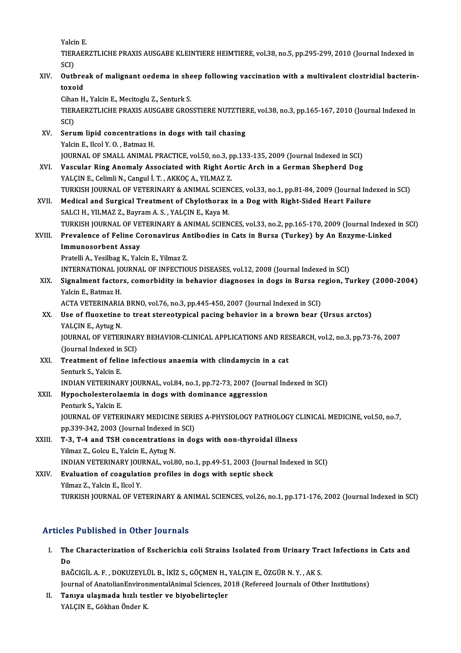YalcinE.

Yalcin E.<br>TIERAERZTLICHE PRAXIS AUSGABE KLEINTIERE HEIMTIERE, vol.38, no.5, pp.295-299, 2010 (Journal Indexed in<br>SCD Yalci<br>TIER<br>SCI)<br>Outh TIERAERZTLICHE PRAXIS AUSGABE KLEINTIERE HEIMTIERE, vol.38, no.5, pp.295-299, 2010 (Journal Indexed in<br>SCI)<br>XIV. Outbreak of malignant oedema in sheep following vaccination with a multivalent clostridial bacterin-<br>toxoid

SCI)<br>Outbre<br>toxoid<br><sup>Ciban H</sup> **Outbreak of malignant oedema in she<br>toxoid<br>Cihan H., Yalcin E., Mecitoglu Z., Senturk S.<br>TIERAERZTLICHE PRAYIS AUSCAPE CROS** 

toxoid<br>Cihan H., Yalcin E., Mecitoglu Z., Senturk S.<br>TIERAERZTLICHE PRAXIS AUSGABE GROSSTIERE NUTZTIERE, vol.38, no.3, pp.165-167, 2010 (Journal Indexed in<br>SCD Cihai<br>TIER<br>SCI)<br>Serv TIERAERZTLICHE PRAXIS AUSGABE GROSSTIERE NUTZTIEI<br>SCI)<br>XV. Serum lipid concentrations in dogs with tail chasing<br>Valgin E. Hoal Y. O. Batmar H

- SCI)<br>Serum lipid concentrations<br>Yalcin E., Ilcol Y. O. , Batmaz H.<br>JOUPNAL OE SMALL ANIMAL Yalcin E., Ilcol Y. O. , Batmaz H.<br>JOURNAL OF SMALL ANIMAL PRACTICE, vol.50, no.3, pp.133-135, 2009 (Journal Indexed in SCI)
- XVI. Vascular Ring Anomaly Associated with Right Aortic Arch in a German Shepherd Dog YALÇIN E., Celimli N., Cangul İ. T., AKKOÇ A., YILMAZ Z. Vascular Ring Anomaly Associated with Right Aortic Arch in a German Shepherd Dog<br>YALÇIN E., Celimli N., Cangul İ. T. , AKKOÇ A., YILMAZ Z.<br>TURKISH JOURNAL OF VETERINARY & ANIMAL SCIENCES, vol.33, no.1, pp.81-84, 2009 (Jour
- XVII. Medical and Surgical Treatment of Chylothorax in a Dog with Right-Sided Heart Failure<br>SALCI H., YILMAZ Z., Bayram A. S., YALCIN E., Kaya M. TURKISH JOURNAL OF VETERINARY & ANIMAL SCIEN<br>Medical and Surgical Treatment of Chylothorax<br>SALCI H., YILMAZ Z., Bayram A. S. , YALÇIN E., Kaya M.<br>TURKISH JOURNAL OF VETERINARY & ANIMAL SCIEN TURKISH JOURNAL OF VETERINARY & ANIMAL SCIENCES, vol.33, no.2, pp.165-170, 2009 (Journal Indexed in SCI) SALCI H., YILMAZ Z., Bayram A. S. , YALÇIN E., Kaya M.<br>TURKISH JOURNAL OF VETERINARY & ANIMAL SCIENCES, vol.33, no.2, pp.165-170, 2009 (Journal Indexed<br>XVIII. Prevalence of Feline Coronavirus Antibodies in Cats in Bursa (T

### TURKISH JOURNAL OF VE<br>Prevalence of Feline Co<br>Immunosorbent Assay<br>Pretalli A. Vosilber K. Vol Prevalence of Feline Coronavirus Al<br>Immunosorbent Assay<br>Pratelli A., Yesilbag K., Yalcin E., Yilmaz Z.<br>INTERNATIONAL JOURNAL OF INFECTIO I<mark>mmunosorbent Assay</mark><br>Pratelli A., Yesilbag K., Yalcin E., Yilmaz Z.<br>INTERNATIONAL JOURNAL OF INFECTIOUS DISEASES, vol.12, 2008 (Journal Indexed in SCI)<br>Signalment factors, comorbidity in bohavior diagnoses in dogs in Burs

Pratelli A., Yesilbag K., Yalcin E., Yilmaz Z.<br>INTERNATIONAL JOURNAL OF INFECTIOUS DISEASES, vol.12, 2008 (Journal Indexed in SCI)<br>XIX. Signalment factors, comorbidity in behavior diagnoses in dogs in Bursa region, Tur INTERNATIONAL JC<br>Signalment factor<br>Yalcin E., Batmaz H.<br>ACTA VETEPINAPIA Signalment factors, comorbidity in behavior diagnoses in dogs in Bursa re<br>Yalcin E., Batmaz H.<br>ACTA VETERINARIA BRNO, vol.76, no.3, pp.445-450, 2007 (Journal Indexed in SCI)<br>Hee of fluovatine to treat starsetunical posing

ACTA VETERINARIA BRNO, vol.76, no.3, pp.445-450, 2007 (Journal Indexed in SCI)

## Yalcin E., Batmaz H.<br>ACTA VETERINARIA BRNO, vol.76, no.3, pp.445-450, 2007 (Journal Indexed in SCI)<br>XX. Use of fluoxetine to treat stereotypical pacing behavior in a brown bear (Ursus arctos)<br>YALCIN E., Aytug N. Use of fluoxetine to treat stereotypical pacing behavior in a brown bear (Ursus arctos)<br>YALÇIN E., Aytug N.<br>JOURNAL OF VETERINARY BEHAVIOR-CLINICAL APPLICATIONS AND RESEARCH, vol.2, no.3, pp.73-76, 2007<br>(Journal Indoved in

YALÇIN E., Aytug N.<br>JOURNAL OF VETERINAF<br>(Journal Indexed in SCI)<br>Treatment of foling in JOURNAL OF VETERINARY BEHAVIOR-CLINICAL APPLICATIONS AND RES<br>(Journal Indexed in SCI)<br>XXI. Treatment of feline infectious anaemia with clindamycin in a cat<br>Senturk S. Valsin F.

### (Journal Indexed in<br><mark>Treatment of felii</mark><br>Senturk S., Yalcin E.<br>INDIAN VETERINAI Senturk S., Yalcin E.<br>INDIAN VETERINARY JOURNAL, vol.84, no.1, pp.72-73, 2007 (Journal Indexed in SCI) Senturk S., Yalcin E.<br>INDIAN VETERINARY JOURNAL, vol.84, no.1, pp.72-73, 2007 (Journ<br>XXII. Hypocholesterolaemia in dogs with dominance aggression

- 
- INDIAN VETERINAF<br><mark>Hypocholesterola</mark><br>Penturk S., Yalcin E.<br>JOUPNAL OF VETER Hypocholesterolaemia in dogs with dominance aggression<br>Penturk S., Yalcin E.<br>JOURNAL OF VETERINARY MEDICINE SERIES A-PHYSIOLOGY PATHOLOGY CLINICAL MEDICINE, vol.50, no.7,<br>nn 220 242 2002 (Jaurral Indeved in SCD Penturk S., Yalcin E.<br>JOURNAL OF VETERINARY MEDICINE SERII<br>pp.339-342, 2003 (Journal Indexed in SCI)<br>T.3. T.4.0pd TSH consentrations in de pp.339-342, 2003 (Journal Indexed in SCI)
- XXIII. T-3, T-4 and TSH concentrations in dogs with non-thyroidal illness<br>Yilmaz Z., Golcu E., Yalcin E., Aytug N. T-3, T-4 and TSH concentrations in dogs with non-thyroidal illness<br>Yilmaz Z., Golcu E., Yalcin E., Aytug N.<br>INDIAN VETERINARY JOURNAL, vol.80, no.1, pp.49-51, 2003 (Journal Indexed in SCI)<br>Evaluation of coaculation profile Yilmaz Z., Golcu E., Yalcin E., Aytug N.<br>INDIAN VETERINARY JOURNAL, vol.80, no.1, pp.49-51, 2003 (Journa<br>XXIV. Evaluation of coagulation profiles in dogs with septic shock<br>Vilmaz Z. Valcin E. Hoal V.

INDIAN VETERINARY JOU<br><mark>Evaluation of coagulati</mark><br>Yilmaz Z., Yalcin E., Ilcol Y.<br>TURKISH JOURNAL OF VE Evaluation of coagulation profiles in dogs with septic shock<br>Tilmaz Z., Yalcin E., Ilcol Y.<br>TURKISH JOURNAL OF VETERINARY & ANIMAL SCIENCES, vol.26, no.1, pp.171-176, 2002 (Journal Indexed in SCI)

### Articles Published in Other Journals

rticles Published in Other Journals<br>I. The Characterization of Escherichia coli Strains Isolated from Urinary Tract Infections in Cats and<br>Re res<br>The<br>Do BAĞCIGİLA.F. ,DOKUZEYLÜLB., İKİZ S.,GÖÇMENH.,YALÇINE.,ÖZGÜRN.Y. ,AKS.

Journal of AnatolianEnvironmentalAnimal Sciences, 2018 (Refereed Journals of Other Institutions)

BAĞCIGİL A. F. , DOKUZEYLÜL B., İKİZ S., GÖÇMEN H.,<br>Journal of AnatolianEnvironmentalAnimal Sciences, 20<br>II. Tanıya ulaşmada hızlı testler ve biyobelirteçler<br>VALCIN E. Gölter Önder K. Journal of AnatolianEnviron<br><mark>Tanıya ulaşmada hızlı te</mark>s<br>YALÇIN E., Gökhan Önder K.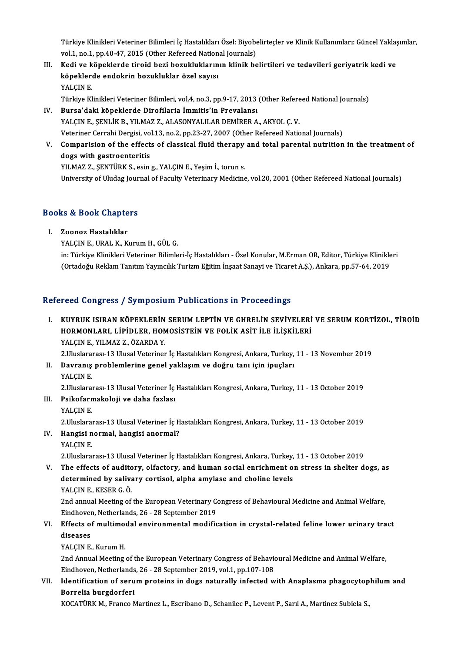Türkiye Klinikleri Veteriner Bilimleri İç Hastalıkları Özel: Biyobelirteçler ve Klinik Kullanımları: Güncel Yaklaşımlar,<br>Vel.1, na.1, nn.40,47, 2015 (Othan Refereed National Jaunnale) Türkiye Klinikleri Veteriner Bilimleri İç Hastalıkları Özel: Biyobe<br>vol.1, no.1, pp.40-47, 2015 (Other Refereed National Journals)<br>Kodi ve köneklende tineid beri berukluklarının klinik be Türkiye Klinikleri Veteriner Bilimleri İç Hastalıkları Özel: Biyobelirteçler ve Klinik Kullanımları: Güncel Yaklaş<br>1991. vol.1, no.1, pp.40-47, 2015 (Other Refereed National Journals)<br>11. Kedi ve köpeklerde tiroid bezi boz

vol.1, no.1, pp.40-47, 2015 (Other Refereed National Journals)<br>III. Kedi ve köpeklerde tiroid bezi bozukluklarının klinik belirtileri ve tedavileri geriyatrik kedi ve<br>köpeklerde endokrin bozukluklar özel sayısı<br>YALÇIN E. köpeklerde endokrin bozukluklar özel sayısı köpeklerde endokrin bozukluklar özel sayısı<br>YALÇIN E.<br>Türkiye Klinikleri Veteriner Bilimleri, vol.4, no.3, pp.9-17, 2013 (Other Refereed National Journals)<br>Bursa'daki köpeklerde Direfileria İmmitis'in Brayalansı

- IV. Bursa'daki köpeklerde Dirofilaria İmmitis'in Prevalansı Türkiye Klinikleri Veteriner Bilimleri, vol.4, no.3, pp.9-17, 2013 (Other Refere<br>Bursa'daki köpeklerde Dirofilaria İmmitis'in Prevalansı<br>YALÇIN E., ŞENLİK B., YILMAZ Z., ALASONYALILAR DEMİRER A., AKYOL Ç. V.<br>Veteriner Cerr Bursa'daki köpeklerde Dirofilaria İmmitis'in Prevalansı<br>YALÇIN E., ŞENLİK B., YILMAZ Z., ALASONYALILAR DEMİRER A., AKYOL Ç. V.<br>Veteriner Cerrahi Dergisi, vol.13, no.2, pp.23-27, 2007 (Other Refereed National Journals)<br>Comp YALÇIN E., ŞENLİK B., YILMAZ Z., ALASONYALILAR DEMİRER A., AKYOL Ç. V.<br>Veteriner Cerrahi Dergisi, vol.13, no.2, pp.23-27, 2007 (Other Refereed National Journals)<br>V. Comparision of the effects of classical fluid therapy and
- Veteriner Cerrahi Dergisi, vo<br>Comparision of the effect<br>dogs with gastroenteritis<br>VII MAZ Z. SENTÜPK S. esin Comparision of the effects of classical fluid therapy<br>dogs with gastroenteritis<br>YILMAZ Z., ŞENTÜRK S., esing., YALÇIN E., Yeşim İ., toruns.<br>University of Uludes Journal of Fosulty Veterinary Medising dogs with gastroenteritis<br>YILMAZ Z., ŞENTÜRK S., esin g., YALÇIN E., Yeşim İ., torun s.<br>University of Uludag Journal of Faculty Veterinary Medicine, vol.20, 2001 (Other Refereed National Journals)

## oniversity of oludag jour<br>Books & Book Chapters OOks & Book Chapte<br>I. Zoonoz Hastalıklar<br>XALCIN E. URAL K. K.

I. Zoonoz Hastalıklar<br>YALÇIN E., URAL K., Kurum H., GÜL G.

Zoonoz Hastalıklar<br>YALÇIN E., URAL K., Kurum H., GÜL G.<br>in: Türkiye Klinikleri Veteriner Bilimleri-İç Hastalıkları - Özel Konular, M.Erman OR, Editor, Türkiye Klinikleri<br>(Ortadoğu Beklam Tanıtım Yayıncılık Turizm Eğitim İn YALÇIN E., URAL K., Kurum H., GÜL G.<br>in: Türkiye Klinikleri Veteriner Bilimleri-İç Hastalıkları - Özel Konular, M.Erman OR, Editor, Türkiye Klinikle<br>(Ortadoğu Reklam Tanıtım Yayıncılık Turizm Eğitim İnşaat Sanayi ve Ticare (Ortadoğu Reklam Tanıtım Yayıncılık Turizm Eğitim İnşaat Sanayi ve Ticaret A.Ş.), Ankara, pp.57-64, 2019<br>Refereed Congress / Symposium Publications in Proceedings

- efereed Congress / Symposium Publications in Proceedings<br>I. KUYRUK ISIRAN KÖPEKLERİN SERUM LEPTİN VE GHRELİN SEVİYELERİ VE SERUM KORTİZOL, TİROİD<br>HOPMONLARL LİRİDLER HOMOSİSTEIN VE FOLİK ASİT İLE İLİSKİLERİ TOCA GÖNETCETT DJ'INPODIANI I ABNOACISME IN TTOCOGANIST<br>KUYRUK ISIRAN KÖPEKLERİN SERUM LEPTİN VE GHRELİN SEVİYELERİ<br>HORMONLARI, LİPİDLER, HOMOSİSTEİN VE FOLİK ASİT İLE İLİŞKİLERİ KUYRUK ISIRAN KÖPEKLERİN<br>HORMONLARI, LİPİDLER, HON<br>YALÇIN E., YILMAZ Z., ÖZARDA Y.<br>2 Huslanarası 13 Husal Vatarinar HORMONLARI, LİPİDLER, HOMOSİSTEİN VE FOLİK ASİT İLE İLİŞKİLERİ<br>YALÇIN E., YILMAZ Z., ÖZARDA Y.<br>2.Uluslararası-13 Ulusal Veteriner İç Hastalıkları Kongresi, Ankara, Turkey, 11 - 13 November 2019<br>Dovranış nrahlamlarine genel
- YALÇIN E., YILMAZ Z., ÖZARDA Y.<br>2.Uluslararası-13 Ulusal Veteriner İç Hastalıkları Kongresi, Ankara, Turkey,<br>II. Davranış problemlerine genel yaklaşım ve doğru tanı için ipuçları<br>YALCIN E. 2.Uluslara<br>D<mark>avranış</mark><br>YALÇIN E.<br>2.Uluslara

2. Uluslararası-13 Ulusal Veteriner İç Hastalıkları Kongresi, Ankara, Turkey, 11 - 13 October 2019

YALÇIN E.<br>2.Uluslararası-13 Ulusal Veteriner İç<br>III. Psikofarmakoloji ve daha fazlası<br>VALGIN E 2.Uluslara<br>Psikofarn<br>YALÇIN E.<br>2.Uluslara

2.Uluslararası-13UlusalVeteriner İçHastalıklarıKongresi,Ankara,Turkey,11 -13October 2019

YALÇIN E.<br>2.Uluslararası-13 Ulusal Veteriner İç H<br>IV. Hangisi normal, hangisi anormal?<br>YALCIN E 2.Uluslara<br><mark>Hangisi n</mark><br>YALÇIN E.<br>2 Uluslara

2.Uluslararası-13UlusalVeteriner İçHastalıklarıKongresi,Ankara,Turkey,11 -13October 2019

V. The effects of auditory, olfactory, and human social enrichment on stress in shelter dogs, as 2.Uluslararası-13 Ulusal Veteriner İç Hastalıkları Kongresi, Ankara, Turkey,<br>The effects of auditory, olfactory, and human social enrichment o<br>determined by salivary cortisol, alpha amylase and choline levels<br>YALCIN E, KES The effects of audite<br>determined by saliva<br>YALÇIN E., KESER G.Ö.<br>2nd annual Mesting of determined by salivary cortisol, alpha amylase and choline levels<br>YALÇIN E., KESER G. Ö.<br>2nd annual Meeting of the European Veterinary Congress of Behavioural Medicine and Animal Welfare,<br>Eindbeven, Netherlands, 26, 28 Sep

YALÇIN E., KESER G. Ö.<br>2nd annual Meeting of the European Veterinary Co.<br>Eindhoven, Netherlands, 26 - 28 September 2019<br>Effects of multimodal environmental modific 2nd annual Meeting of the European Veterinary Congress of Behavioural Medicine and Animal Welfare,<br>Eindhoven, Netherlands, 26 - 28 September 2019<br>VI. Effects of multimodal environmental modification in crystal-related feli

## Eindhoven, Netherlands, 26 - 28 September 2019<br>VI. Effects of multimodal environmental modification in crystal-related feline lower urinary tract<br>diseases

YALÇIN E., Kurum H.

diseases<br>YALÇIN E., Kurum H.<br>2nd Annual Meeting of the European Veterinary Congress of Behavioural Medicine and Animal Welfare,<br>Findboven, Netherlande, 26 , 28 September 2019, vol.1, pp.107, 109 YALÇIN E., Kurum H.<br>2nd Annual Meeting of the European Veterinary Congress of Behavio<br>Eindhoven, Netherlands, 26 - 28 September 2019, vol.1, pp.107-108<br>Identification of senum proteins in dogs paturelly infected v 2nd Annual Meeting of the European Veterinary Congress of Behavioural Medicine and Animal Welfare,<br>Eindhoven, Netherlands, 26 - 28 September 2019, vol.1, pp.107-108<br>VII. Identification of serum proteins in dogs naturally i

## Eindhoven, Netherlands<br>Identification of seru<br>Borrelia burgdorferi<br>KOCATÜPK M. Erance N Identification of serum proteins in dogs naturally infected with Anaplasma phagocytop<br>Borrelia burgdorferi<br>KOCATÜRK M., Franco Martinez L., Escribano D., Schanilec P., Levent P., Sarıl A., Martinez Subiela S.,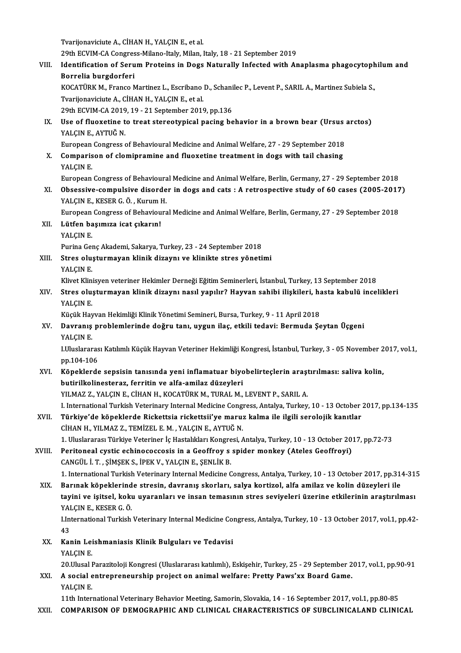Tvarijonaviciute A., CİHAN H., YALÇIN E., et al.

29th ECVIM-CA Congress-Milano-Italy, Milan, Italy, 18 - 21 September 2019

Tvarijonaviciute A., CİHAN H., YALÇIN E., et al.<br>29th ECVIM-CA Congress-Milano-Italy, Milan, Italy, 18 - 21 September 2019<br>VIII. Identification of Serum Proteins in Dogs Naturally Infected with Anaplasma phagocytophilum an 29th ECVIM-CA Congres<br>Identification of Seru<br>Borrelia burgdorferi<br>KOCATÜPK M. Erange N Identification of Serum Proteins in Dogs Naturally Infected with Anaplasma phagocytoph<br>Borrelia burgdorferi<br>KOCATÜRK M., Franco Martinez L., Escribano D., Schanilec P., Levent P., SARIL A., Martinez Subiela S.,<br>Tyarlionavi

Borrelia burgdorferi<br>KOCATÜRK M., Franco Martinez L., Escribano<br>Tvarijonaviciute A., CİHAN H., YALÇIN E., et al. KOCATÜRK M., Franco Martinez L., Escribano D., Schanilec P., Levent P., SARIL A., Martinez Subiela S.,

29th ECVIM-CA 2019, 19 - 21 September 2019, pp.136

IX. Use of fluoxetine to treat stereotypical pacing behavior in a brown bear (Ursus arctos)<br>YALCIN E. AYTUĞ N. Use of fluoxetine to treat stereotypical pacing behavior in a brown bear (Ursus<br>YALÇIN E., AYTUĞ N.<br>European Congress of Behavioural Medicine and Animal Welfare, 27 - 29 September 2018<br>Comparison of clamingamine and fluora

X. Comparison of clomipramine and fluoxetine treatment in dogs with tail chasing European<br>Comparis<br>YALÇIN E.<br>European

European Congress of Behavioural Medicine and Animal Welfare, Berlin, Germany, 27 - 29 September 2018

YALÇIN E.<br>European Congress of Behavioural Medicine and Animal Welfare, Berlin, Germany, 27 - 29 September 2018<br>XI. Obsessive-compulsive disorder in dogs and cats : A retrospective study of 60 cases (2005-2017)<br>YALCIN E. K European Congress of Behavioura<br>Obsessive-compulsive disorde<br>YALÇIN E., KESER G.Ö. , Kurum H.<br>European Congress of Behaviours Obsessive-compulsive disorder in dogs and cats : A retrospective study of 60 cases (2005-2017<br>YALÇIN E., KESER G. Ö. , Kurum H.<br>European Congress of Behavioural Medicine and Animal Welfare, Berlin, Germany, 27 - 29 Septemb

European Congress of Behavioural Medicine and Animal Welfare, Berlin, Germany, 27 - 29 September 2018

YALÇIN E., KESER G. Ö. , Kurum H.<br>European Congress of Behavioura<br>XII. Lütfen başımıza icat çıkarın!<br>YALCIN E. Lütfen başımıza icat çıkarın!<br>YALÇIN E.<br>Purina Genç Akademi, Sakarya, Turkey, 23 - 24 September 2018<br>Stres elusturmayan klinik direvnı ve klinikte stres yöneti

XIII. Stres oluşturmayan klinik dizaynı ve klinikte stres yönetimi<br>YALCIN E. Purina Ge<mark>l</mark><br>Stres olu:<br>YALÇIN E.<br>Klivet Klin

Klivet Klinisyen veteriner Hekimler Derneği Eğitim Seminerleri, İstanbul, Turkey, 13 September 2018

### YALÇIN E.<br>Klivet Klinisyen veteriner Hekimler Derneği Eğitim Seminerleri, İstanbul, Turkey, 13 September 2018<br>XIV. Stres oluşturmayan klinik dizaynı nasıl yapılır? Hayvan sahibi ilişkileri, hasta kabulü incelikleri<br>XALC Klivet Klin<br>Stres olu:<br>YALÇIN E.<br>Küçük Hav Stres oluşturmayan klinik dizaynı nasıl yapılır? Hayvan sahibi ilişkileri, ha<br>YALÇIN E.<br>Küçük Hayvan Hekimliği Klinik Yönetimi Semineri, Bursa, Turkey, 9 - 11 April 2018<br>Dayranıs problamlarında doğru tanı, uygun ilas, etki

Küçük Hayvan Hekimliği Klinik Yönetimi Semineri, Bursa, Turkey, 9 - 11 April 2018

## YALÇIN E.<br>Küçük Hayvan Hekimliği Klinik Yönetimi Semineri, Bursa, Turkey, 9 - 11 April 2018<br>XV. Davranış problemlerinde doğru tanı, uygun ilaç, etkili tedavi: Bermuda Şeytan Üçgeni<br>YALCIN E. Davranış problemlerinde doğru tanı, uygun ilaç, etkili tedavi: Bermuda Şeytan Üçgeni<br>YALÇIN E.<br>I.Uluslararası Katılımlı Küçük Hayvan Veteriner Hekimliği Kongresi, İstanbul, Turkey, 3 - 05 November 2017, vol.1,<br>nn 104 106

YALÇIN E.<br>I.Uluslararas<br>pp.104-106<br>Köneklarde I.Uluslararası Katılımlı Küçük Hayvan Veteriner Hekimliği Kongresi, İstanbul, Turkey, 3 - 05 November 2<br>pp.104-106<br>XVI. Köpeklerde sepsisin tanısında yeni inflamatuar biyobelirteçlerin araştırılması: saliva kolin,<br>butinilk

### pp.104-106<br>Köpeklerde sepsisin tanısında yeni inflamatuar biyo<br>butirilkolinesteraz, ferritin ve alfa-amilaz düzeyleri<br>YU MAZ Z. YALCIN E. CİHAN H. KOCATÜRK M. TURAL M butirilkolinesteraz, ferritin ve alfa-amilaz düzeyleri<br>YILMAZ Z., YALÇIN E., CİHAN H., KOCATÜRK M., TURAL M., LEVENT P., SARIL A.

I. International Turkish Veterinary Internal Medicine Congress, Antalya, Turkey, 10 - 13 October 2017, pp.134-135

YILMAZ Z., YALÇIN E., CİHAN H., KOCATÜRK M., TURAL M., LEVENT P., SARIL A.<br>I. International Turkish Veterinary Internal Medicine Congress, Antalya, Turkey, 10 - 13 October<br>XVII. Türkiye'de köpeklerde Rickettsia rickett I. International Turkish Veterinary Internal Medicine Cong<br>Türkiye'de köpeklerde Rickettsia rickettsii'ye maru:<br>CİHAN H., YILMAZ Z., TEMİZEL E.M. , YALÇIN E., AYTUĞ N.<br>1. Uluslaranes: Türkiye Veteriner İs Hestalıkları Kong Türkiye'de köpeklerde Rickettsia rickettsii'ye maruz kalma ile ilgili serolojik kanıtlar<br>CİHAN H., YILMAZ Z., TEMİZEL E. M. , YALÇIN E., AYTUĞ N.<br>1. Uluslararası Türkiye Veteriner İç Hastalıkları Kongresi, Antalya, Turkey, CİHAN H., YILMAZ Z., TEMİZEL E. M. , YALÇIN E., AYTUĞ N.<br>1. Uluslararası Türkiye Veteriner İç Hastalıkları Kongresi, Antalya, Turkey, 10 - 13 October 2017, pp.72-73<br>2. XVIII. Peritoneal cystic echinococcosis in a Geoff

CANGÜL İ.T. ,ŞİMŞEKS., İPEKV.,YALÇINE.,ŞENLİKB. Peritoneal cystic echinococcosis in a Geoffroy s spider monkey (Ateles Geoffroyi)<br>CANGÜL İ. T. , ŞİMŞEK S., İPEK V., YALÇIN E., ŞENLİK B.<br>1. International Turkish Veterinary Internal Medicine Congress, Antalya, Turkey, 10

CANGÜL İ. T. , ŞİMŞEK S., İPEK V., YALÇIN E., ŞENLİK B.<br>1. International Turkish Veterinary Internal Medicine Congress, Antalya, Turkey, 10 - 13 October 2017, pp.31<br>2008. XIX. Barınak köpeklerinde stresin, davranış skorlar 1. International Turkish Veterinary Internal Medicine Congress, Antalya, Turkey, 10 - 13 October 2017, pp.314-31<br>Barınak köpeklerinde stresin, davranış skorları, salya kortizol, alfa amilaz ve kolin düzeyleri ile<br>tayini ve Barınak köpeklerind<br>tayini ve işitsel, kokı<br>YALÇIN E., KESER G.Ö.<br>Unternational Turkish tayini ve işitsel, koku uyaranları ve insan temasının stres seviyeleri üzerine etkilerinin araştırılması<br>YALÇIN E., KESER G. Ö.<br>I.International Turkish Veterinary Internal Medicine Congress, Antalya, Turkey, 10 - 13 Octobe

YAI<br>I.In<br>43 I.International Turkish Veterinary Internal Medicine Co.<br>43<br>XX. Kanin Leishmaniasis Klinik Bulguları ve Tedavisi<br>VALCIN E

43<br>XX. Kanin Leishmaniasis Klinik Bulguları ve Tedavisi<br>YALCIN E.

20.UlusalParazitolojiKongresi (Uluslararasıkatılımlı),Eskişehir,Turkey,25 -29 September 2017,vol.1,pp.90-91

YALÇIN E.<br>20.Ulusal Parazitoloji Kongresi (Uluslararası katılımlı), Eskişehir, Turkey, 25 - 29 September 2<br>XXI. A social entrepreneurship project on animal welfare: Pretty Paws'xx Board Game.<br>XALCIN E 20.Ulusal I<br>**A social e**<br>YALÇIN E.<br>11th Inter

11th International Veterinary Behavior Meeting, Samorin, Slovakia, 14 - 16 September 2017, vol.1, pp.80-85<br>11th International Veterinary Behavior Meeting, Samorin, Slovakia, 14 - 16 September 2017, vol.1, pp.80-85 XXII. COMPARISON OF DEMOGRAPHIC AND CLINICAL CHARACTERISTICS OF SUBCLINICALAND CLINICAL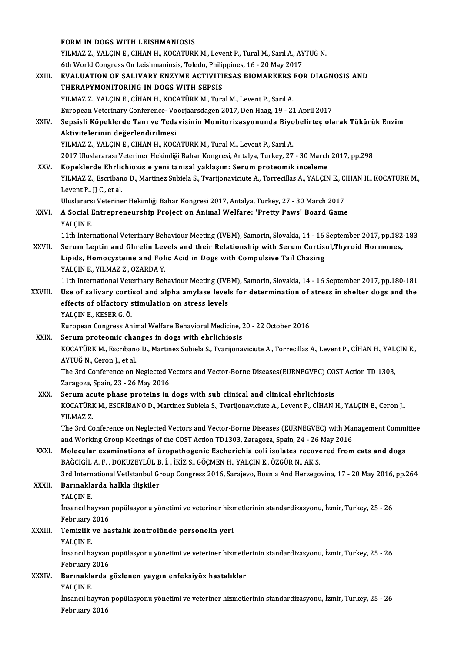|              | FORM IN DOGS WITH LEISHMANIOSIS                                                                                                                                           |
|--------------|---------------------------------------------------------------------------------------------------------------------------------------------------------------------------|
|              | YILMAZ Z., YALÇIN E., CİHAN H., KOCATÜRK M., Levent P., Tural M., Sarıl A., AYTUĞ N.                                                                                      |
|              | 6th World Congress On Leishmaniosis, Toledo, Philippines, 16 - 20 May 2017                                                                                                |
| XXIII.       | EVALUATION OF SALIVARY ENZYME ACTIVITIESAS BIOMARKERS FOR DIAGNOSIS AND                                                                                                   |
|              | THERAPYMONITORING IN DOGS WITH SEPSIS                                                                                                                                     |
|              | YILMAZ Z., YALÇIN E., CİHAN H., KOCATÜRK M., Tural M., Levent P., Sarıl A.                                                                                                |
|              | European Veterinary Conference-Voorjaarsdagen 2017, Den Haag, 19 - 21 April 2017                                                                                          |
| XXIV.        | Sepsisli Köpeklerde Tanı ve Tedavisinin Monitorizasyonunda Biyobelirteç olarak Tükürük Enzim                                                                              |
|              | Aktivitelerinin değerlendirilmesi                                                                                                                                         |
|              | YILMAZ Z., YALÇIN E., CİHAN H., KOCATÜRK M., Tural M., Levent P., Sarıl A.                                                                                                |
|              | 2017 Uluslararası Veteriner Hekimliği Bahar Kongresi, Antalya, Turkey, 27 - 30 March 2017, pp.298                                                                         |
| XXV          | Köpeklerde Ehrlichiozis e yeni tanısal yaklaşım: Serum proteomik inceleme                                                                                                 |
|              | YILMAZ Z., Escribano D., Martinez Subiela S., Tvarijonaviciute A., Torrecillas A., YALÇIN E., CİHAN H., KOCATÜRK M.,<br>Levent P, JJ C, et al.                            |
|              | Uluslararsı Veteriner Hekimliği Bahar Kongresi 2017, Antalya, Turkey, 27 - 30 March 2017                                                                                  |
| XXVI.        | A Social Entrepreneurship Project on Animal Welfare: 'Pretty Paws' Board Game                                                                                             |
|              | YALÇIN E                                                                                                                                                                  |
|              | 11th International Veterinary Behaviour Meeting (IVBM), Samorin, Slovakia, 14 - 16 September 2017, pp.182-183                                                             |
| XXVII.       | Serum Leptin and Ghrelin Levels and their Relationship with Serum Cortisol, Thyroid Hormones,                                                                             |
|              | Lipids, Homocysteine and Folic Acid in Dogs with Compulsive Tail Chasing                                                                                                  |
|              | YALÇIN E., YILMAZ Z., ÖZARDA Y.                                                                                                                                           |
|              | 11th International Veterinary Behaviour Meeting (IVBM), Samorin, Slovakia, 14 - 16 September 2017, pp.180-181                                                             |
| XXVIII.      | Use of salivary cortisol and alpha amylase levels for determination of stress in shelter dogs and the                                                                     |
|              | effects of olfactory stimulation on stress levels                                                                                                                         |
|              | YALÇIN E, KESER G Ö                                                                                                                                                       |
|              | European Congress Animal Welfare Behavioral Medicine, 20 - 22 October 2016                                                                                                |
| XXIX.        | Serum proteomic changes in dogs with ehrlichiosis<br>KOCATÜRK M., Escribano D., Martinez Subiela S., Tvarijonaviciute A., Torrecillas A., Levent P., CİHAN H., YALÇIN E., |
|              | AYTUĞ N. Ceron I. et al                                                                                                                                                   |
|              | The 3rd Conference on Neglected Vectors and Vector-Borne Diseases(EURNEGVEC) COST Action TD 1303,                                                                         |
|              | Zaragoza, Spain, 23 - 26 May 2016                                                                                                                                         |
| XXX.         | Serum acute phase proteins in dogs with sub clinical and clinical ehrlichiosis                                                                                            |
|              | KOCATÜRK M., ESCRİBANO D., Martinez Subiela S., Tvarijonaviciute A., Levent P., CİHAN H., YALÇIN E., Ceron J.,                                                            |
|              | YILMAZ Z                                                                                                                                                                  |
|              | The 3rd Conference on Neglected Vectors and Vector-Borne Diseases (EURNEGVEC) with Management Committee                                                                   |
|              | and Working Group Meetings of the COST Action TD1303, Zaragoza, Spain, 24 - 26 May 2016                                                                                   |
| XXXI.        | Molecular examinations of üropathogenic Escherichia coli isolates recovered from cats and dogs                                                                            |
|              | BAĞCIGİL A. F., DOKUZEYLÜL B. İ., İKİZ S., GÖÇMEN H., YALÇIN E., ÖZGÜR N., AK S.                                                                                          |
|              | 3rd International VetIstanbul Group Congress 2016, Sarajevo, Bosnia And Herzegovina, 17 - 20 May 2016, pp.264                                                             |
| <b>XXXII</b> | Barınaklarda halkla ilişkiler                                                                                                                                             |
|              | YALÇIN E.                                                                                                                                                                 |
|              | İnsancıl hayvan popülasyonu yönetimi ve veteriner hizmetlerinin standardizasyonu, İzmir, Turkey, 25 - 26                                                                  |
|              | February 2016<br>Temizlik ve hastalık kontrolünde personelin yeri                                                                                                         |
| XXXIII.      | YALÇIN E.                                                                                                                                                                 |
|              | İnsancıl hayvan popülasyonu yönetimi ve veteriner hizmetlerinin standardizasyonu, İzmir, Turkey, 25 - 26                                                                  |
|              | February 2016                                                                                                                                                             |
| XXXIV.       | Barınaklarda gözlenen yaygın enfeksiyöz hastalıklar                                                                                                                       |
|              | YALÇIN E.                                                                                                                                                                 |
|              | İnsancıl hayvan popülasyonu yönetimi ve veteriner hizmetlerinin standardizasyonu, İzmir, Turkey, 25 - 26                                                                  |
|              | February 2016                                                                                                                                                             |
|              |                                                                                                                                                                           |